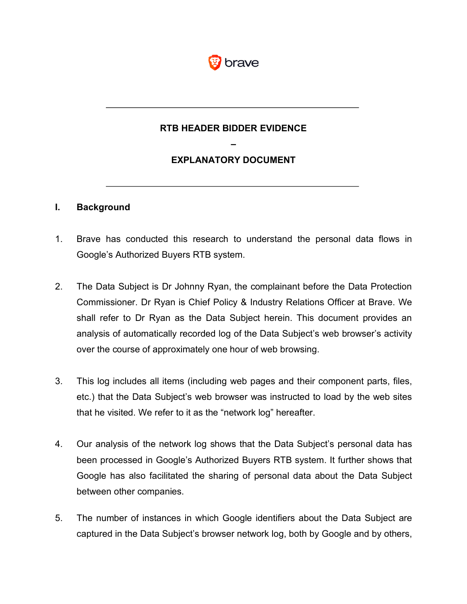

#### **RTB HEADER BIDDER EVIDENCE**

## **– EXPLANATORY DOCUMENT**

#### **I. Background**

- 1. Brave has conducted this research to understand the personal data flows in Google's Authorized Buyers RTB system.
- 2. The Data Subject is Dr Johnny Ryan, the complainant before the Data Protection Commissioner. Dr Ryan is Chief Policy & Industry Relations Officer at Brave. We shall refer to Dr Ryan as the Data Subject herein. This document provides an analysis of automatically recorded log of the Data Subject's web browser's activity over the course of approximately one hour of web browsing.
- 3. This log includes all items (including web pages and their component parts, files, etc.) that the Data Subject's web browser was instructed to load by the web sites that he visited. We refer to it as the "network log" hereafter.
- 4. Our analysis of the network log shows that the Data Subject's personal data has been processed in Google's Authorized Buyers RTB system. It further shows that Google has also facilitated the sharing of personal data about the Data Subject between other companies.
- 5. The number of instances in which Google identifiers about the Data Subject are captured in the Data Subject's browser network log, both by Google and by others,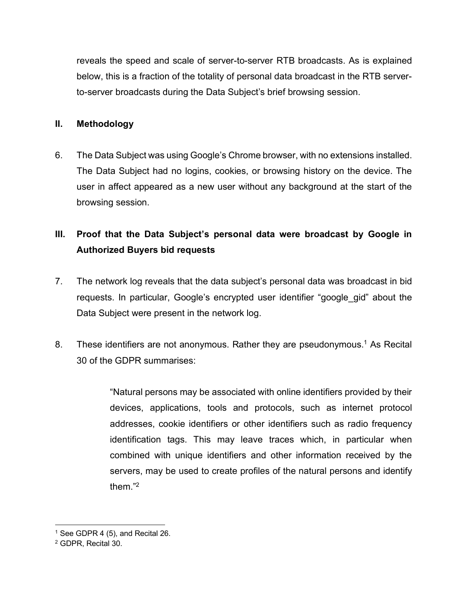reveals the speed and scale of server-to-server RTB broadcasts. As is explained below, this is a fraction of the totality of personal data broadcast in the RTB serverto-server broadcasts during the Data Subject's brief browsing session.

### **II. Methodology**

6. The Data Subject was using Google's Chrome browser, with no extensions installed. The Data Subject had no logins, cookies, or browsing history on the device. The user in affect appeared as a new user without any background at the start of the browsing session.

# **III. Proof that the Data Subject's personal data were broadcast by Google in Authorized Buyers bid requests**

- 7. The network log reveals that the data subject's personal data was broadcast in bid requests. In particular, Google's encrypted user identifier "google\_gid" about the Data Subject were present in the network log.
- 8. These identifiers are not anonymous. Rather they are pseudonymous.<sup>1</sup> As Recital 30 of the GDPR summarises:

"Natural persons may be associated with online identifiers provided by their devices, applications, tools and protocols, such as internet protocol addresses, cookie identifiers or other identifiers such as radio frequency identification tags. This may leave traces which, in particular when combined with unique identifiers and other information received by the servers, may be used to create profiles of the natural persons and identify them."2

<sup>1</sup> <sup>1</sup> See GDPR 4 (5), and Recital 26.

<sup>2</sup> GDPR, Recital 30.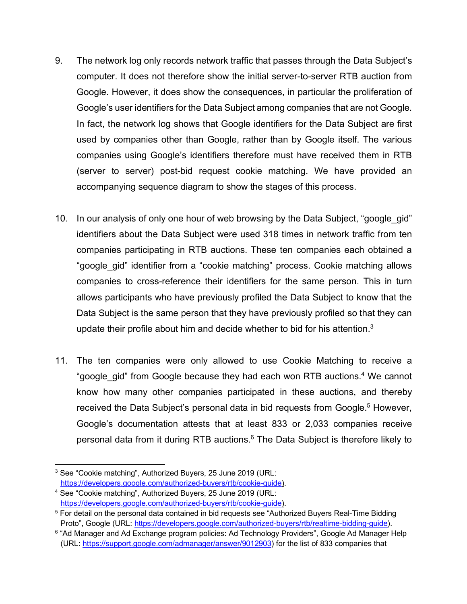- 9. The network log only records network traffic that passes through the Data Subject's computer. It does not therefore show the initial server-to-server RTB auction from Google. However, it does show the consequences, in particular the proliferation of Google's user identifiers for the Data Subject among companies that are not Google. In fact, the network log shows that Google identifiers for the Data Subject are first used by companies other than Google, rather than by Google itself. The various companies using Google's identifiers therefore must have received them in RTB (server to server) post-bid request cookie matching. We have provided an accompanying sequence diagram to show the stages of this process.
- 10. In our analysis of only one hour of web browsing by the Data Subject, "google gid" identifiers about the Data Subject were used 318 times in network traffic from ten companies participating in RTB auctions. These ten companies each obtained a "google\_gid" identifier from a "cookie matching" process. Cookie matching allows companies to cross-reference their identifiers for the same person. This in turn allows participants who have previously profiled the Data Subject to know that the Data Subject is the same person that they have previously profiled so that they can update their profile about him and decide whether to bid for his attention.<sup>3</sup>
- 11. The ten companies were only allowed to use Cookie Matching to receive a "google\_gid" from Google because they had each won RTB auctions. <sup>4</sup> We cannot know how many other companies participated in these auctions, and thereby received the Data Subject's personal data in bid requests from Google.<sup>5</sup> However, Google's documentation attests that at least 833 or 2,033 companies receive personal data from it during RTB auctions.6 The Data Subject is therefore likely to

<sup>1</sup> <sup>3</sup> See "Cookie matching", Authorized Buyers, 25 June 2019 (URL: https://developers.google.com/authorized-buyers/rtb/cookie-guide). 4 See "Cookie matching", Authorized Buyers, 25 June 2019 (URL:

https://developers.google.com/authorized-buyers/rtb/cookie-guide).<br><sup>5</sup> For detail on the personal data contained in bid requests see "Authorized Buyers Real-Time Bidding Proto", Google (URL: https://developers.google.com/authorized-buyers/rtb/realtime-bidding-guide).

<sup>6</sup> "Ad Manager and Ad Exchange program policies: Ad Technology Providers", Google Ad Manager Help (URL: https://support.google.com/admanager/answer/9012903) for the list of 833 companies that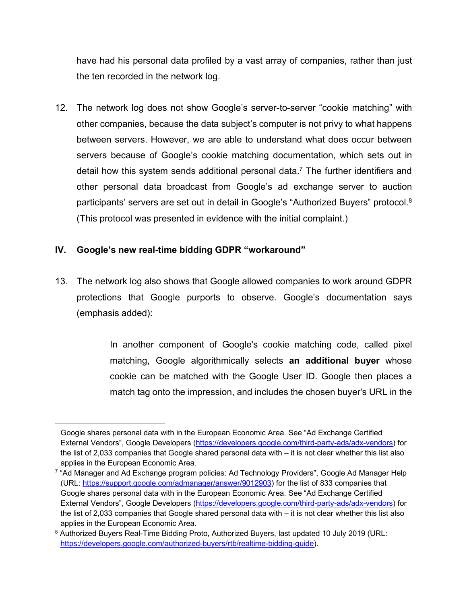have had his personal data profiled by a vast array of companies, rather than just the ten recorded in the network log.

12. The network log does not show Google's server-to-server "cookie matching" with other companies, because the data subject's computer is not privy to what happens between servers. However, we are able to understand what does occur between servers because of Google's cookie matching documentation, which sets out in detail how this system sends additional personal data.<sup>7</sup> The further identifiers and other personal data broadcast from Google's ad exchange server to auction participants' servers are set out in detail in Google's "Authorized Buyers" protocol.<sup>8</sup> (This protocol was presented in evidence with the initial complaint.)

### **IV. Google's new real-time bidding GDPR "workaround"**

<u>.</u>

13. The network log also shows that Google allowed companies to work around GDPR protections that Google purports to observe. Google's documentation says (emphasis added):

> In another component of Google's cookie matching code, called pixel matching, Google algorithmically selects **an additional buyer** whose cookie can be matched with the Google User ID. Google then places a match tag onto the impression, and includes the chosen buyer's URL in the

Google shares personal data with in the European Economic Area. See "Ad Exchange Certified External Vendors", Google Developers (https://developers.google.com/third-party-ads/adx-vendors) for the list of 2,033 companies that Google shared personal data with – it is not clear whether this list also applies in the European Economic Area.

<sup>&</sup>lt;sup>7</sup> "Ad Manager and Ad Exchange program policies: Ad Technology Providers", Google Ad Manager Help (URL: https://support.google.com/admanager/answer/9012903) for the list of 833 companies that Google shares personal data with in the European Economic Area. See "Ad Exchange Certified External Vendors", Google Developers (https://developers.google.com/third-party-ads/adx-vendors) for the list of 2,033 companies that Google shared personal data with – it is not clear whether this list also applies in the European Economic Area.

<sup>&</sup>lt;sup>8</sup> Authorized Buyers Real-Time Bidding Proto, Authorized Buyers, last updated 10 July 2019 (URL: https://developers.google.com/authorized-buyers/rtb/realtime-bidding-guide).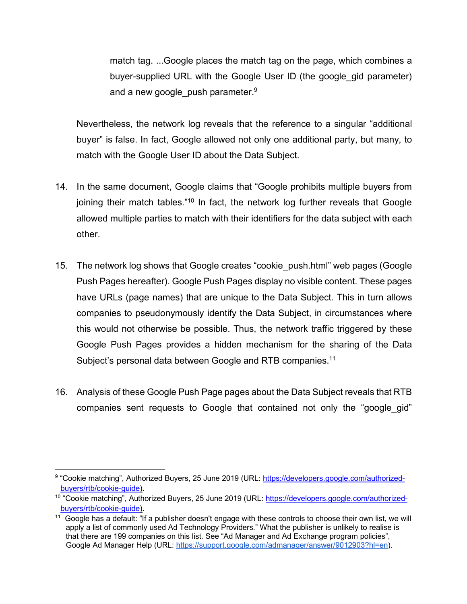match tag. ...Google places the match tag on the page, which combines a buyer-supplied URL with the Google User ID (the google\_gid parameter) and a new google push parameter. $9$ 

Nevertheless, the network log reveals that the reference to a singular "additional buyer" is false. In fact, Google allowed not only one additional party, but many, to match with the Google User ID about the Data Subject.

- 14. In the same document, Google claims that "Google prohibits multiple buyers from joining their match tables."<sup>10</sup> In fact, the network log further reveals that Google allowed multiple parties to match with their identifiers for the data subject with each other.
- 15. The network log shows that Google creates "cookie\_push.html" web pages (Google Push Pages hereafter). Google Push Pages display no visible content. These pages have URLs (page names) that are unique to the Data Subject. This in turn allows companies to pseudonymously identify the Data Subject, in circumstances where this would not otherwise be possible. Thus, the network traffic triggered by these Google Push Pages provides a hidden mechanism for the sharing of the Data Subject's personal data between Google and RTB companies.<sup>11</sup>
- 16. Analysis of these Google Push Page pages about the Data Subject reveals that RTB companies sent requests to Google that contained not only the "google gid"

<sup>1</sup> 9 "Cookie matching", Authorized Buyers, 25 June 2019 (URL: https://developers.google.com/authorizedbuyers/rtb/cookie-guide).<br><sup>10</sup> "Cookie matching", Authorized Buyers, 25 June 2019 (URL: https://developers.google.com/authorized-

buyers/rtb/cookie-guide).<br><sup>11</sup> Google has a default: "If a publisher doesn't engage with these controls to choose their own list, we will

apply a list of commonly used Ad Technology Providers." What the publisher is unlikely to realise is that there are 199 companies on this list. See "Ad Manager and Ad Exchange program policies", Google Ad Manager Help (URL: https://support.google.com/admanager/answer/9012903?hl=en).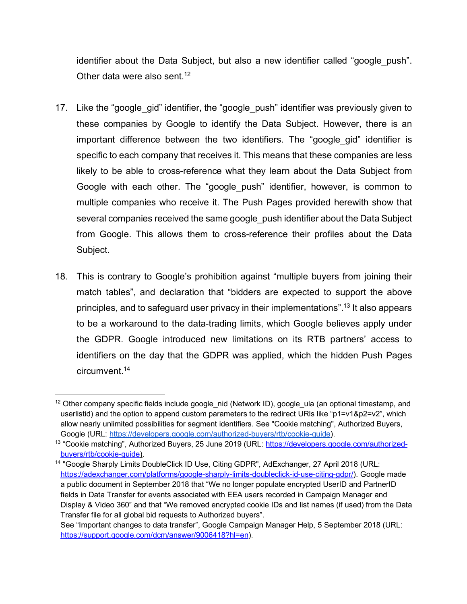identifier about the Data Subject, but also a new identifier called "google push". Other data were also sent.<sup>12</sup>

- 17. Like the "google gid" identifier, the "google push" identifier was previously given to these companies by Google to identify the Data Subject. However, there is an important difference between the two identifiers. The "google\_gid" identifier is specific to each company that receives it. This means that these companies are less likely to be able to cross-reference what they learn about the Data Subject from Google with each other. The "google\_push" identifier, however, is common to multiple companies who receive it. The Push Pages provided herewith show that several companies received the same google push identifier about the Data Subject from Google. This allows them to cross-reference their profiles about the Data Subject.
- 18. This is contrary to Google's prohibition against "multiple buyers from joining their match tables", and declaration that "bidders are expected to support the above principles, and to safeguard user privacy in their implementations".<sup>13</sup> It also appears to be a workaround to the data-trading limits, which Google believes apply under the GDPR. Google introduced new limitations on its RTB partners' access to identifiers on the day that the GDPR was applied, which the hidden Push Pages circumvent.14

<sup>&</sup>lt;u>.</u> <sup>12</sup> Other company specific fields include google nid (Network ID), google ula (an optional timestamp, and userlistid) and the option to append custom parameters to the redirect URIs like "p1=v1&p2=v2", which allow nearly unlimited possibilities for segment identifiers. See "Cookie matching", Authorized Buyers, Google (URL: https://developers.google.com/authorized-buyers/rtb/cookie-guide).

<sup>&</sup>lt;sup>13</sup> "Cookie matching", Authorized Buyers, 25 June 2019 (URL: https://developers.google.com/authorizedbuyers/rtb/cookie-guide).

<sup>&</sup>lt;sup>14</sup> "Google Sharply Limits DoubleClick ID Use, Citing GDPR", AdExchanger, 27 April 2018 (URL: https://adexchanger.com/platforms/google-sharply-limits-doubleclick-id-use-citing-gdpr/). Google made a public document in September 2018 that "We no longer populate encrypted UserID and PartnerID fields in Data Transfer for events associated with EEA users recorded in Campaign Manager and Display & Video 360" and that "We removed encrypted cookie IDs and list names (if used) from the Data Transfer file for all global bid requests to Authorized buyers".

See "Important changes to data transfer", Google Campaign Manager Help, 5 September 2018 (URL: https://support.google.com/dcm/answer/9006418?hl=en).